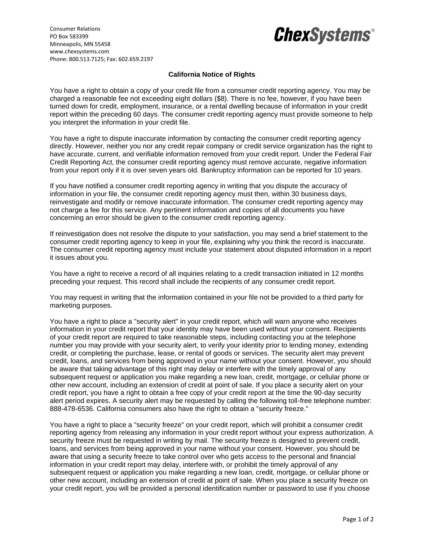Consumer Relations PO Box 583399 Minneapolis, MN 55458 www.chexsystems.com Phone: 800.513.7125; Fax: 602.659.2197

## *ChexSystems®*

## **California Notice of Rights**

You have a right to obtain a copy of your credit file from a consumer credit reporting agency. You may be charged a reasonable fee not exceeding eight dollars (\$8). There is no fee, however, if you have been turned down for credit, employment, insurance, or a rental dwelling because of information in your credit report within the preceding 60 days. The consumer credit reporting agency must provide someone to help you interpret the information in your credit file.

You have a right to dispute inaccurate information by contacting the consumer credit reporting agency directly. However, neither you nor any credit repair company or credit service organization has the right to have accurate, current, and verifiable information removed from your credit report. Under the Federal Fair Credit Reporting Act, the consumer credit reporting agency must remove accurate, negative information from your report only if it is over seven years old. Bankruptcy information can be reported for 10 years.

If you have notified a consumer credit reporting agency in writing that you dispute the accuracy of information in your file, the consumer credit reporting agency must then, within 30 business days, reinvestigate and modify or remove inaccurate information. The consumer credit reporting agency may not charge a fee for this service. Any pertinent information and copies of all documents you have concerning an error should be given to the consumer credit reporting agency.

If reinvestigation does not resolve the dispute to your satisfaction, you may send a brief statement to the consumer credit reporting agency to keep in your file, explaining why you think the record is inaccurate. The consumer credit reporting agency must include your statement about disputed information in a report it issues about you.

You have a right to receive a record of all inquiries relating to a credit transaction initiated in 12 months preceding your request. This record shall include the recipients of any consumer credit report.

You may request in writing that the information contained in your file not be provided to a third party for marketing purposes.

You have a right to place a "security alert" in your credit report, which will warn anyone who receives information in your credit report that your identity may have been used without your consent. Recipients of your credit report are required to take reasonable steps, including contacting you at the telephone number you may provide with your security alert, to verify your identity prior to lending money, extending credit, or completing the purchase, lease, or rental of goods or services. The security alert may prevent credit, loans, and services from being approved in your name without your consent. However, you should be aware that taking advantage of this right may delay or interfere with the timely approval of any subsequent request or application you make regarding a new loan, credit, mortgage, or cellular phone or other new account, including an extension of credit at point of sale. If you place a security alert on your credit report, you have a right to obtain a free copy of your credit report at the time the 90-day security alert period expires. A security alert may be requested by calling the following toll-free telephone number: 888-478-6536. California consumers also have the right to obtain a "security freeze."

You have a right to place a "security freeze" on your credit report, which will prohibit a consumer credit reporting agency from releasing any information in your credit report without your express authorization. A security freeze must be requested in writing by mail. The security freeze is designed to prevent credit, loans, and services from being approved in your name without your consent. However, you should be aware that using a security freeze to take control over who gets access to the personal and financial information in your credit report may delay, interfere with, or prohibit the timely approval of any subsequent request or application you make regarding a new loan, credit, mortgage, or cellular phone or other new account, including an extension of credit at point of sale. When you place a security freeze on your credit report, you will be provided a personal identification number or password to use if you choose